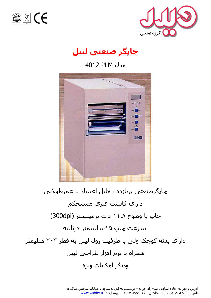





هدل PLM 4012



چاپگرصنعتی پربازده ، قابل اعتماد با عمرطولانی دارای کابینت فلزی مستحکم چاپ با وضوح ۱۱.۸ دات برمیلیمتر (300dpi) سرعت چاپ ۱۵سانتیمتر درثانیه دارای بدنه کوچک ولی با ظرفیت رول لیبل به قطر ۲۰۲ میلیمتر همراه با نرم افزار طراحی لیبل ودیگر امکانات ویژه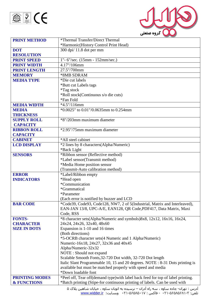



| <b>PRINT METHOD</b>    | *Thermal Transfer/Direct Thermal                                                         |
|------------------------|------------------------------------------------------------------------------------------|
|                        | *Harmonic(History Control Print Head)                                                    |
| <b>DOT</b>             | 300 dpi/ 11.8 dot per mm                                                                 |
| <b>RESOLUTION</b>      |                                                                                          |
| <b>PRINT SPEED</b>     | 1"-6"/sec. (15mm - 152mm/sec.)                                                           |
| <b>PRINT WIDTH</b>     | 4.17"/106mm                                                                              |
| <b>PRINT LENGTH</b>    | 27.5"/700mm                                                                              |
| <b>MEMORY</b>          | *8MB SDRAM                                                                               |
| <b>MEDIA TYPE</b>      | *Die cut labels                                                                          |
|                        | *Butt cut Labels tags                                                                    |
|                        | <i>*Tag stock</i>                                                                        |
|                        | *Roll stock(Continuous s/o die cuts)                                                     |
|                        | *Fan Fold                                                                                |
| <b>MEDIA WIDTH</b>     | *4.5"/116mm                                                                              |
| <b>MEDIA</b>           | *0.0025" to 0.01"/0.0635mm to 0.254mm                                                    |
| <b>THICKNESS</b>       |                                                                                          |
| <b>SUPPLY ROLL</b>     | *8"/203mm maximum diameter                                                               |
| <b>CAPACITY</b>        |                                                                                          |
| <b>RIBBON ROLL</b>     | *2.95"/75mm maximum diameter                                                             |
| <b>CAPACITY</b>        |                                                                                          |
| <b>CABINET</b>         | *All steel cabinet                                                                       |
| <b>LCD DISPLAY</b>     | *2 lines by 8 characters(Alpha/Numeric)                                                  |
|                        | *Back Light                                                                              |
| <b>SENSORS</b>         | *Ribbon sensor (Reflective method)                                                       |
|                        | *Label sensor(Transmit method)                                                           |
|                        | *Media Home position sensor                                                              |
|                        | (Transmit-Auto calibration method)                                                       |
| <b>ERROR</b>           | *Label/Ribbon empty                                                                      |
| <b>INDICATORS</b>      | *Head open                                                                               |
|                        | *Communication                                                                           |
|                        | *Grammatical                                                                             |
|                        | *Parameter                                                                               |
|                        | (Each error is notified by buzzer and LCD                                                |
| <b>BAR CODE</b>        | *Code39, Code93, Code128, NW7, 2 of 5(Industrial, Matrix and Interleaved),               |
|                        | EAN-JAN 13/8, UPC-A/E, EAN128, QR Code, PDF417, Data Matrix, Maxi<br>Code, RSS           |
| <b>FONTS-</b>          | *8 character sets(Alpha/Numeric and symbols)8x8, 12x12, 16x16, 16x24,                    |
| <b>CHARACTER</b>       | 24x24, 24x26, 32x40, 48x60                                                               |
| <b>SIZE IN DOTS</b>    | Expansion is 1-10 and 16 times                                                           |
|                        | (Both directions)                                                                        |
|                        | *5-OCRB character sets(4 Numeric and 1 Alpha/Numeric)                                    |
|                        | Numeric-16x18, 24x27, 32x36 and 40x45                                                    |
|                        | Alpha/Numeric-32x32                                                                      |
|                        | NOTE: Should not expand                                                                  |
|                        | Scalable Smooth Fonts, 32-720 Dot width, 32-720 Dot length                               |
|                        | Italic Slant Programmable 10, 15 and 20 degrees. NOTE : 8-31 Dots printing is            |
|                        | available but must be matched properly with speed and media                              |
|                        | *Down loadable font                                                                      |
| <b>PRINTING MODES</b>  | *Peel off, Tear off(demand type) with label back feed for top of label printing.         |
| <b>&amp; FUNCTIONS</b> | *Batch printing (Stipe-for continuous printing of labels. Can be used with               |
|                        | ا آدیب در تم ان حاده بن امها بن م ام آدان – دیب ده به اتمران بن امها خیابان شاه بن ۷۱۰ ک |

آدرس : تعِران- چاده سـاوه ، سـه راه آدران – نرسـیده به اتوبان سـاوه ، خیابان شـاهین پلاک ۵ تلفن: ۲-۵۶۵۸۵۶۵-۲۱ - فاکس : ۵۶۵۸۵۰۱۷ - ۱۲۰۰ وبسایت: <u>www.widder.ir</u>